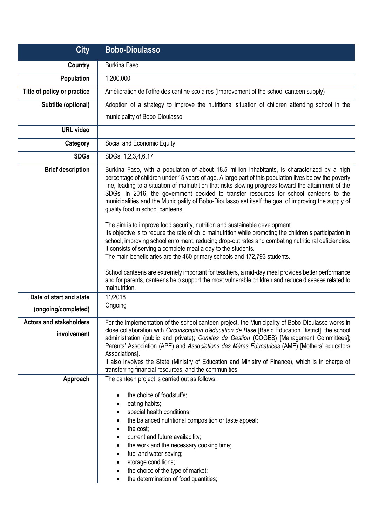| <b>City</b>                                   | <b>Bobo-Dioulasso</b>                                                                                                                                                                                                                                                                                                                                                                                                                                                                                                                                                                                                                |
|-----------------------------------------------|--------------------------------------------------------------------------------------------------------------------------------------------------------------------------------------------------------------------------------------------------------------------------------------------------------------------------------------------------------------------------------------------------------------------------------------------------------------------------------------------------------------------------------------------------------------------------------------------------------------------------------------|
| Country                                       | <b>Burkina Faso</b>                                                                                                                                                                                                                                                                                                                                                                                                                                                                                                                                                                                                                  |
| Population                                    | 1,200,000                                                                                                                                                                                                                                                                                                                                                                                                                                                                                                                                                                                                                            |
| Title of policy or practice                   | Amélioration de l'offre des cantine scolaires (Improvement of the school canteen supply)                                                                                                                                                                                                                                                                                                                                                                                                                                                                                                                                             |
| Subtitle (optional)                           | Adoption of a strategy to improve the nutritional situation of children attending school in the                                                                                                                                                                                                                                                                                                                                                                                                                                                                                                                                      |
|                                               | municipality of Bobo-Dioulasso                                                                                                                                                                                                                                                                                                                                                                                                                                                                                                                                                                                                       |
| <b>URL</b> video                              |                                                                                                                                                                                                                                                                                                                                                                                                                                                                                                                                                                                                                                      |
| Category                                      | Social and Economic Equity                                                                                                                                                                                                                                                                                                                                                                                                                                                                                                                                                                                                           |
| <b>SDGs</b>                                   | SDGs: 1,2,3,4,6,17.                                                                                                                                                                                                                                                                                                                                                                                                                                                                                                                                                                                                                  |
| <b>Brief description</b>                      | Burkina Faso, with a population of about 18.5 million inhabitants, is characterized by a high<br>percentage of children under 15 years of age. A large part of this population lives below the poverty<br>line, leading to a situation of malnutrition that risks slowing progress toward the attainment of the<br>SDGs. In 2016, the government decided to transfer resources for school canteens to the<br>municipalities and the Municipality of Bobo-Dioulasso set itself the goal of improving the supply of<br>quality food in school canteens.<br>The aim is to improve food security, nutrition and sustainable development. |
|                                               | Its objective is to reduce the rate of child malnutrition while promoting the children's participation in<br>school, improving school enrolment, reducing drop-out rates and combating nutritional deficiencies.<br>It consists of serving a complete meal a day to the students.<br>The main beneficiaries are the 460 primary schools and 172,793 students.<br>School canteens are extremely important for teachers, a mid-day meal provides better performance<br>and for parents, canteens help support the most vulnerable children and reduce diseases related to<br>malnutrition.                                             |
| Date of start and state                       | 11/2018                                                                                                                                                                                                                                                                                                                                                                                                                                                                                                                                                                                                                              |
| (ongoing/completed)                           | Ongoing                                                                                                                                                                                                                                                                                                                                                                                                                                                                                                                                                                                                                              |
| <b>Actors and stakeholders</b><br>involvement | For the implementation of the school canteen project, the Municipality of Bobo-Dioulasso works in<br>close collaboration with Circonscription d'éducation de Base [Basic Education District]; the school<br>administration (public and private); Comités de Gestion (COGES) [Management Committees];<br>Parents' Association (APE) and Associations des Mères Educatrices (AME) [Mothers' educators<br>Associations].<br>It also involves the State (Ministry of Education and Ministry of Finance), which is in charge of<br>transferring financial resources, and the communities.                                                 |
| Approach                                      | The canteen project is carried out as follows:                                                                                                                                                                                                                                                                                                                                                                                                                                                                                                                                                                                       |
|                                               | the choice of foodstuffs;<br>eating habits;<br>special health conditions;<br>the balanced nutritional composition or taste appeal;<br>the cost;<br>current and future availability;<br>the work and the necessary cooking time;<br>fuel and water saving;<br>storage conditions;<br>the choice of the type of market;<br>the determination of food quantities;                                                                                                                                                                                                                                                                       |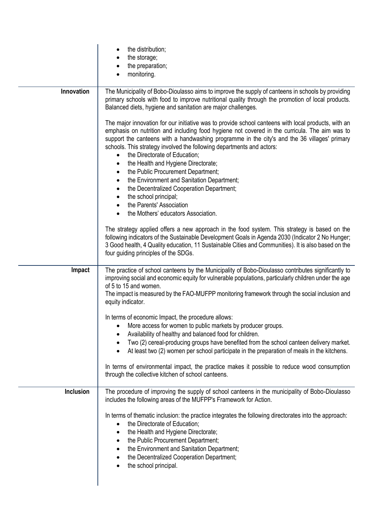| the distribution;<br>the storage;<br>the preparation;                                                                                                                                                                                                                                                                                                                                                                                                                                                                                                                                                                                           |
|-------------------------------------------------------------------------------------------------------------------------------------------------------------------------------------------------------------------------------------------------------------------------------------------------------------------------------------------------------------------------------------------------------------------------------------------------------------------------------------------------------------------------------------------------------------------------------------------------------------------------------------------------|
| monitoring.                                                                                                                                                                                                                                                                                                                                                                                                                                                                                                                                                                                                                                     |
| The Municipality of Bobo-Dioulasso aims to improve the supply of canteens in schools by providing<br>primary schools with food to improve nutritional quality through the promotion of local products.<br>Balanced diets, hygiene and sanitation are major challenges.                                                                                                                                                                                                                                                                                                                                                                          |
| The major innovation for our initiative was to provide school canteens with local products, with an<br>emphasis on nutrition and including food hygiene not covered in the curricula. The aim was to<br>support the canteens with a handwashing programme in the city's and the 36 villages' primary<br>schools. This strategy involved the following departments and actors:<br>the Directorate of Education;<br>$\bullet$<br>the Health and Hygiene Directorate;<br>٠<br>the Public Procurement Department;<br>$\bullet$<br>the Environment and Sanitation Department;<br>$\bullet$<br>the Decentralized Cooperation Department;<br>$\bullet$ |
| the school principal;<br>$\bullet$<br>the Parents' Association                                                                                                                                                                                                                                                                                                                                                                                                                                                                                                                                                                                  |
| the Mothers' educators Association.<br>٠                                                                                                                                                                                                                                                                                                                                                                                                                                                                                                                                                                                                        |
| The strategy applied offers a new approach in the food system. This strategy is based on the<br>following indicators of the Sustainable Development Goals in Agenda 2030 (Indicator 2 No Hunger;<br>3 Good health, 4 Quality education, 11 Sustainable Cities and Communities). It is also based on the<br>four guiding principles of the SDGs.                                                                                                                                                                                                                                                                                                 |
| The practice of school canteens by the Municipality of Bobo-Dioulasso contributes significantly to<br>improving social and economic equity for vulnerable populations, particularly children under the age<br>of 5 to 15 and women.<br>The impact is measured by the FAO-MUFPP monitoring framework through the social inclusion and<br>equity indicator.                                                                                                                                                                                                                                                                                       |
| In terms of economic Impact, the procedure allows:<br>More access for women to public markets by producer groups.<br>Availability of healthy and balanced food for children.                                                                                                                                                                                                                                                                                                                                                                                                                                                                    |
| Two (2) cereal-producing groups have benefited from the school canteen delivery market.<br>At least two (2) women per school participate in the preparation of meals in the kitchens.<br>٠                                                                                                                                                                                                                                                                                                                                                                                                                                                      |
| In terms of environmental impact, the practice makes it possible to reduce wood consumption<br>through the collective kitchen of school canteens.                                                                                                                                                                                                                                                                                                                                                                                                                                                                                               |
| The procedure of improving the supply of school canteens in the municipality of Bobo-Dioulasso<br>includes the following areas of the MUFPP's Framework for Action.                                                                                                                                                                                                                                                                                                                                                                                                                                                                             |
| In terms of thematic inclusion: the practice integrates the following directorates into the approach:<br>the Directorate of Education;<br>$\bullet$<br>the Health and Hygiene Directorate;<br>٠<br>the Public Procurement Department;<br>٠<br>the Environment and Sanitation Department;<br>the Decentralized Cooperation Department;<br>the school principal.                                                                                                                                                                                                                                                                                  |
|                                                                                                                                                                                                                                                                                                                                                                                                                                                                                                                                                                                                                                                 |